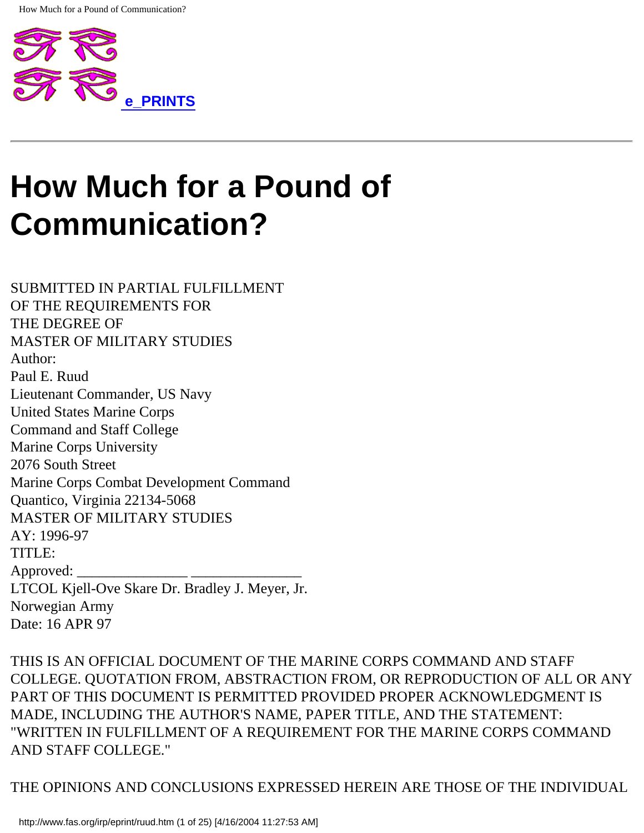

SUBMITTED IN PARTIAL FULFILLMENT OF THE REQUIREMENTS FOR THE DEGREE OF MASTER OF MILITARY STUDIES Author: Paul E. Ruud Lieutenant Commander, US Navy United States Marine Corps Command and Staff College Marine Corps University 2076 South Street Marine Corps Combat Development Command Quantico, Virginia 22134-5068 MASTER OF MILITARY STUDIES AY: 1996-97 TITLE: Approved: LTCOL Kjell-Ove Skare Dr. Bradley J. Meyer, Jr. Norwegian Army Date: 16 APR 97

THIS IS AN OFFICIAL DOCUMENT OF THE MARINE CORPS COMMAND AND STAFF COLLEGE. QUOTATION FROM, ABSTRACTION FROM, OR REPRODUCTION OF ALL OR ANY PART OF THIS DOCUMENT IS PERMITTED PROVIDED PROPER ACKNOWLEDGMENT IS MADE, INCLUDING THE AUTHOR'S NAME, PAPER TITLE, AND THE STATEMENT: "WRITTEN IN FULFILLMENT OF A REQUIREMENT FOR THE MARINE CORPS COMMAND AND STAFF COLLEGE."

THE OPINIONS AND CONCLUSIONS EXPRESSED HEREIN ARE THOSE OF THE INDIVIDUAL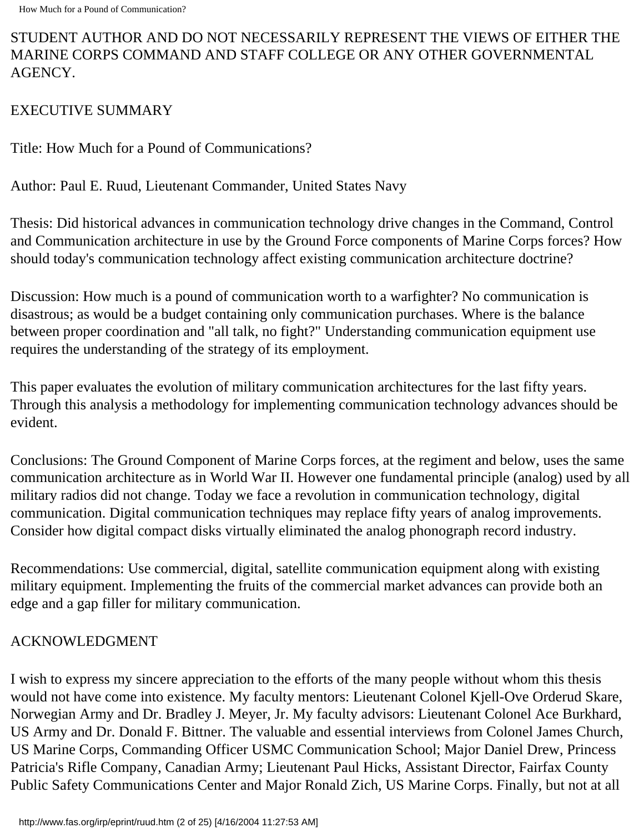## STUDENT AUTHOR AND DO NOT NECESSARILY REPRESENT THE VIEWS OF EITHER THE MARINE CORPS COMMAND AND STAFF COLLEGE OR ANY OTHER GOVERNMENTAL AGENCY.

## EXECUTIVE SUMMARY

Title: How Much for a Pound of Communications?

Author: Paul E. Ruud, Lieutenant Commander, United States Navy

Thesis: Did historical advances in communication technology drive changes in the Command, Control and Communication architecture in use by the Ground Force components of Marine Corps forces? How should today's communication technology affect existing communication architecture doctrine?

Discussion: How much is a pound of communication worth to a warfighter? No communication is disastrous; as would be a budget containing only communication purchases. Where is the balance between proper coordination and "all talk, no fight?" Understanding communication equipment use requires the understanding of the strategy of its employment.

This paper evaluates the evolution of military communication architectures for the last fifty years. Through this analysis a methodology for implementing communication technology advances should be evident.

Conclusions: The Ground Component of Marine Corps forces, at the regiment and below, uses the same communication architecture as in World War II. However one fundamental principle (analog) used by all military radios did not change. Today we face a revolution in communication technology, digital communication. Digital communication techniques may replace fifty years of analog improvements. Consider how digital compact disks virtually eliminated the analog phonograph record industry.

Recommendations: Use commercial, digital, satellite communication equipment along with existing military equipment. Implementing the fruits of the commercial market advances can provide both an edge and a gap filler for military communication.

## ACKNOWLEDGMENT

I wish to express my sincere appreciation to the efforts of the many people without whom this thesis would not have come into existence. My faculty mentors: Lieutenant Colonel Kjell-Ove Orderud Skare, Norwegian Army and Dr. Bradley J. Meyer, Jr. My faculty advisors: Lieutenant Colonel Ace Burkhard, US Army and Dr. Donald F. Bittner. The valuable and essential interviews from Colonel James Church, US Marine Corps, Commanding Officer USMC Communication School; Major Daniel Drew, Princess Patricia's Rifle Company, Canadian Army; Lieutenant Paul Hicks, Assistant Director, Fairfax County Public Safety Communications Center and Major Ronald Zich, US Marine Corps. Finally, but not at all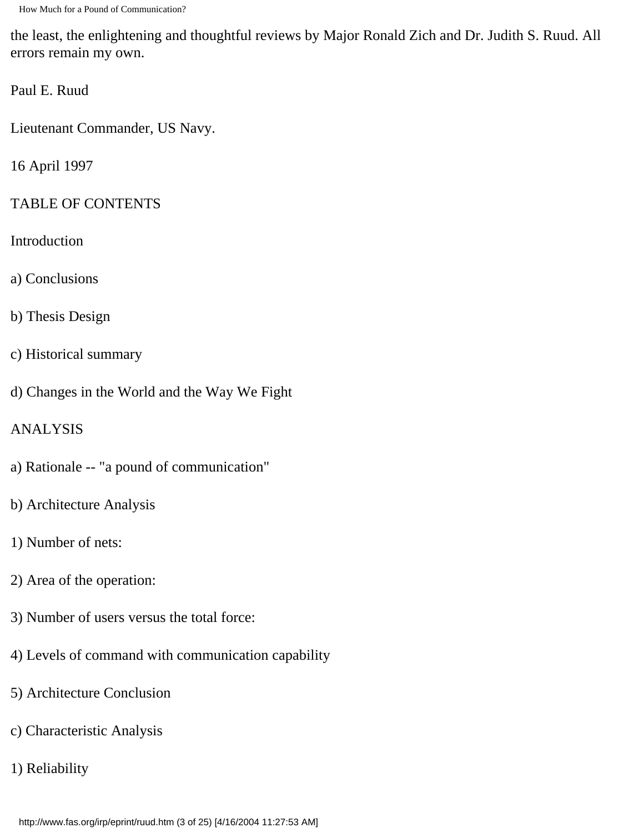the least, the enlightening and thoughtful reviews by Major Ronald Zich and Dr. Judith S. Ruud. All errors remain my own.

Paul E. Ruud

Lieutenant Commander, US Navy.

16 April 1997

#### TABLE OF CONTENTS

- Introduction
- a) Conclusions
- b) Thesis Design
- c) Historical summary
- d) Changes in the World and the Way We Fight

#### ANALYSIS

- a) Rationale -- "a pound of communication"
- b) Architecture Analysis
- 1) Number of nets:
- 2) Area of the operation:
- 3) Number of users versus the total force:
- 4) Levels of command with communication capability
- 5) Architecture Conclusion
- c) Characteristic Analysis
- 1) Reliability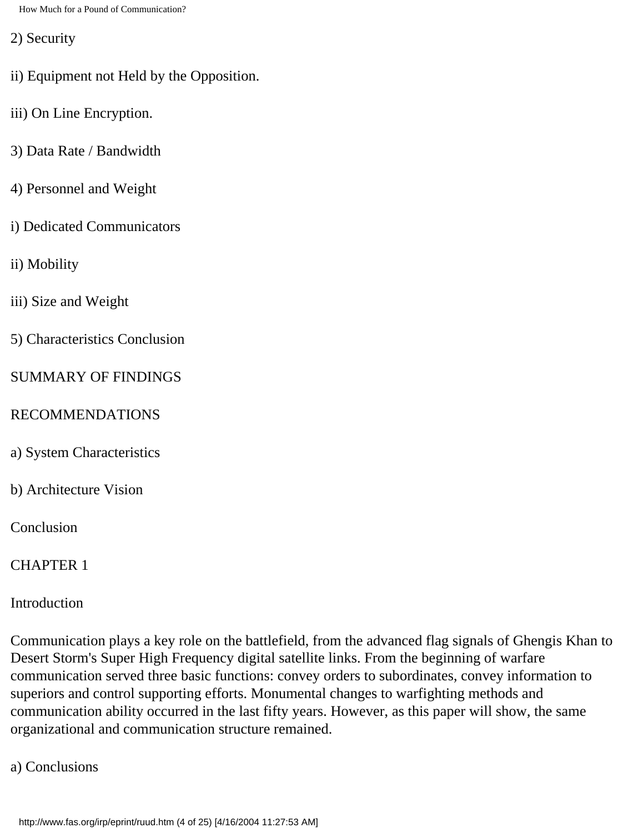2) Security

- ii) Equipment not Held by the Opposition.
- iii) On Line Encryption.
- 3) Data Rate / Bandwidth
- 4) Personnel and Weight
- i) Dedicated Communicators
- ii) Mobility
- iii) Size and Weight
- 5) Characteristics Conclusion

#### SUMMARY OF FINDINGS

#### RECOMMENDATIONS

- a) System Characteristics
- b) Architecture Vision

Conclusion

#### CHAPTER 1

Introduction

Communication plays a key role on the battlefield, from the advanced flag signals of Ghengis Khan to Desert Storm's Super High Frequency digital satellite links. From the beginning of warfare communication served three basic functions: convey orders to subordinates, convey information to superiors and control supporting efforts. Monumental changes to warfighting methods and communication ability occurred in the last fifty years. However, as this paper will show, the same organizational and communication structure remained.

a) Conclusions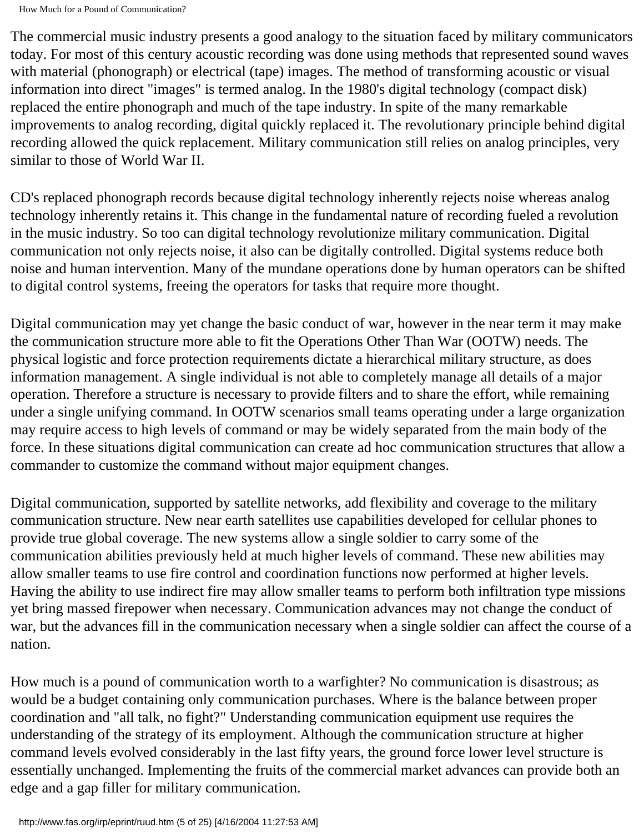The commercial music industry presents a good analogy to the situation faced by military communicators today. For most of this century acoustic recording was done using methods that represented sound waves with material (phonograph) or electrical (tape) images. The method of transforming acoustic or visual information into direct "images" is termed analog. In the 1980's digital technology (compact disk) replaced the entire phonograph and much of the tape industry. In spite of the many remarkable improvements to analog recording, digital quickly replaced it. The revolutionary principle behind digital recording allowed the quick replacement. Military communication still relies on analog principles, very similar to those of World War II.

CD's replaced phonograph records because digital technology inherently rejects noise whereas analog technology inherently retains it. This change in the fundamental nature of recording fueled a revolution in the music industry. So too can digital technology revolutionize military communication. Digital communication not only rejects noise, it also can be digitally controlled. Digital systems reduce both noise and human intervention. Many of the mundane operations done by human operators can be shifted to digital control systems, freeing the operators for tasks that require more thought.

Digital communication may yet change the basic conduct of war, however in the near term it may make the communication structure more able to fit the Operations Other Than War (OOTW) needs. The physical logistic and force protection requirements dictate a hierarchical military structure, as does information management. A single individual is not able to completely manage all details of a major operation. Therefore a structure is necessary to provide filters and to share the effort, while remaining under a single unifying command. In OOTW scenarios small teams operating under a large organization may require access to high levels of command or may be widely separated from the main body of the force. In these situations digital communication can create ad hoc communication structures that allow a commander to customize the command without major equipment changes.

Digital communication, supported by satellite networks, add flexibility and coverage to the military communication structure. New near earth satellites use capabilities developed for cellular phones to provide true global coverage. The new systems allow a single soldier to carry some of the communication abilities previously held at much higher levels of command. These new abilities may allow smaller teams to use fire control and coordination functions now performed at higher levels. Having the ability to use indirect fire may allow smaller teams to perform both infiltration type missions yet bring massed firepower when necessary. Communication advances may not change the conduct of war, but the advances fill in the communication necessary when a single soldier can affect the course of a nation.

How much is a pound of communication worth to a warfighter? No communication is disastrous; as would be a budget containing only communication purchases. Where is the balance between proper coordination and "all talk, no fight?" Understanding communication equipment use requires the understanding of the strategy of its employment. Although the communication structure at higher command levels evolved considerably in the last fifty years, the ground force lower level structure is essentially unchanged. Implementing the fruits of the commercial market advances can provide both an edge and a gap filler for military communication.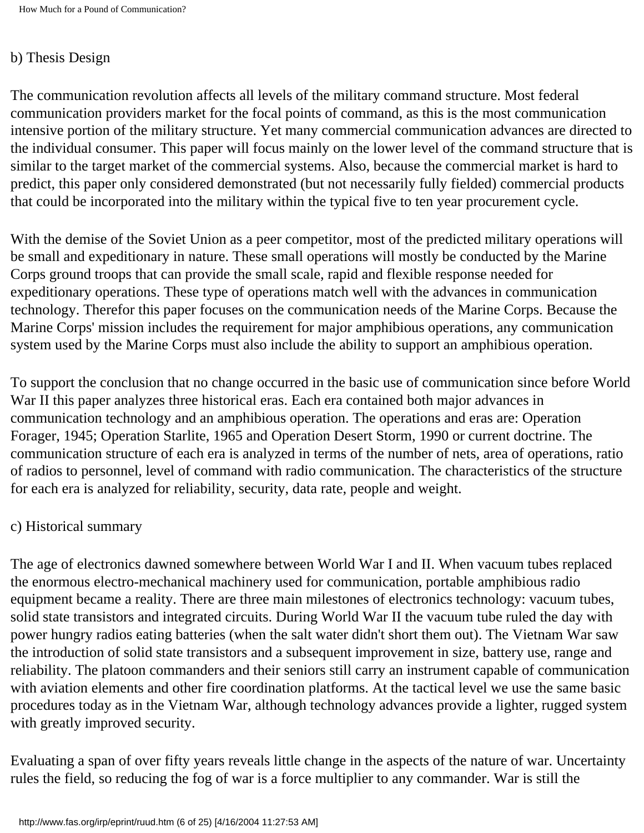#### b) Thesis Design

The communication revolution affects all levels of the military command structure. Most federal communication providers market for the focal points of command, as this is the most communication intensive portion of the military structure. Yet many commercial communication advances are directed to the individual consumer. This paper will focus mainly on the lower level of the command structure that is similar to the target market of the commercial systems. Also, because the commercial market is hard to predict, this paper only considered demonstrated (but not necessarily fully fielded) commercial products that could be incorporated into the military within the typical five to ten year procurement cycle.

With the demise of the Soviet Union as a peer competitor, most of the predicted military operations will be small and expeditionary in nature. These small operations will mostly be conducted by the Marine Corps ground troops that can provide the small scale, rapid and flexible response needed for expeditionary operations. These type of operations match well with the advances in communication technology. Therefor this paper focuses on the communication needs of the Marine Corps. Because the Marine Corps' mission includes the requirement for major amphibious operations, any communication system used by the Marine Corps must also include the ability to support an amphibious operation.

To support the conclusion that no change occurred in the basic use of communication since before World War II this paper analyzes three historical eras. Each era contained both major advances in communication technology and an amphibious operation. The operations and eras are: Operation Forager, 1945; Operation Starlite, 1965 and Operation Desert Storm, 1990 or current doctrine. The communication structure of each era is analyzed in terms of the number of nets, area of operations, ratio of radios to personnel, level of command with radio communication. The characteristics of the structure for each era is analyzed for reliability, security, data rate, people and weight.

#### c) Historical summary

The age of electronics dawned somewhere between World War I and II. When vacuum tubes replaced the enormous electro-mechanical machinery used for communication, portable amphibious radio equipment became a reality. There are three main milestones of electronics technology: vacuum tubes, solid state transistors and integrated circuits. During World War II the vacuum tube ruled the day with power hungry radios eating batteries (when the salt water didn't short them out). The Vietnam War saw the introduction of solid state transistors and a subsequent improvement in size, battery use, range and reliability. The platoon commanders and their seniors still carry an instrument capable of communication with aviation elements and other fire coordination platforms. At the tactical level we use the same basic procedures today as in the Vietnam War, although technology advances provide a lighter, rugged system with greatly improved security.

Evaluating a span of over fifty years reveals little change in the aspects of the nature of war. Uncertainty rules the field, so reducing the fog of war is a force multiplier to any commander. War is still the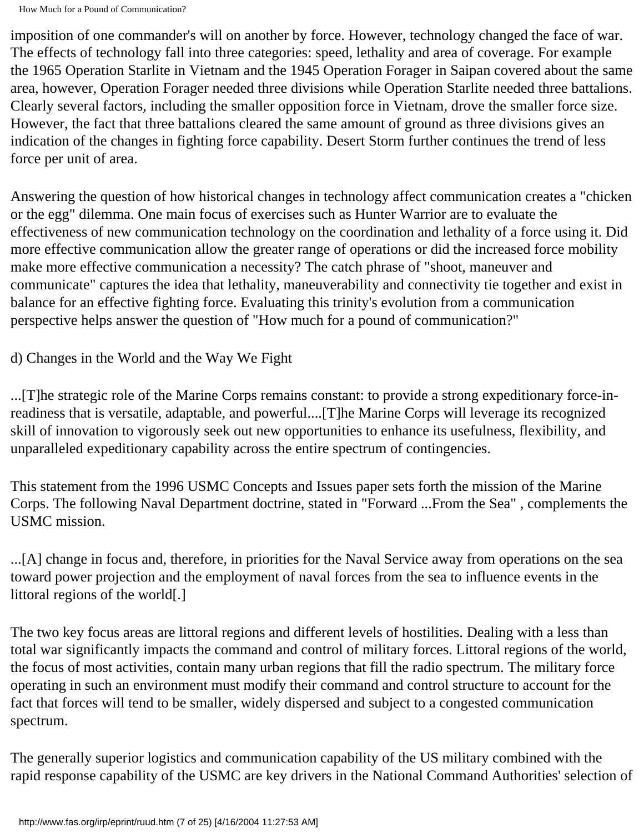imposition of one commander's will on another by force. However, technology changed the face of war. The effects of technology fall into three categories: speed, lethality and area of coverage. For example the 1965 Operation Starlite in Vietnam and the 1945 Operation Forager in Saipan covered about the same area, however, Operation Forager needed three divisions while Operation Starlite needed three battalions. Clearly several factors, including the smaller opposition force in Vietnam, drove the smaller force size. However, the fact that three battalions cleared the same amount of ground as three divisions gives an indication of the changes in fighting force capability. Desert Storm further continues the trend of less force per unit of area.

Answering the question of how historical changes in technology affect communication creates a "chicken or the egg" dilemma. One main focus of exercises such as Hunter Warrior are to evaluate the effectiveness of new communication technology on the coordination and lethality of a force using it. Did more effective communication allow the greater range of operations or did the increased force mobility make more effective communication a necessity? The catch phrase of "shoot, maneuver and communicate" captures the idea that lethality, maneuverability and connectivity tie together and exist in balance for an effective fighting force. Evaluating this trinity's evolution from a communication perspective helps answer the question of "How much for a pound of communication?"

d) Changes in the World and the Way We Fight

...[T]he strategic role of the Marine Corps remains constant: to provide a strong expeditionary force-inreadiness that is versatile, adaptable, and powerful....[T]he Marine Corps will leverage its recognized skill of innovation to vigorously seek out new opportunities to enhance its usefulness, flexibility, and unparalleled expeditionary capability across the entire spectrum of contingencies.

This statement from the 1996 USMC Concepts and Issues paper sets forth the mission of the Marine Corps. The following Naval Department doctrine, stated in "Forward ...From the Sea" , complements the USMC mission.

...[A] change in focus and, therefore, in priorities for the Naval Service away from operations on the sea toward power projection and the employment of naval forces from the sea to influence events in the littoral regions of the world[.]

The two key focus areas are littoral regions and different levels of hostilities. Dealing with a less than total war significantly impacts the command and control of military forces. Littoral regions of the world, the focus of most activities, contain many urban regions that fill the radio spectrum. The military force operating in such an environment must modify their command and control structure to account for the fact that forces will tend to be smaller, widely dispersed and subject to a congested communication spectrum.

The generally superior logistics and communication capability of the US military combined with the rapid response capability of the USMC are key drivers in the National Command Authorities' selection of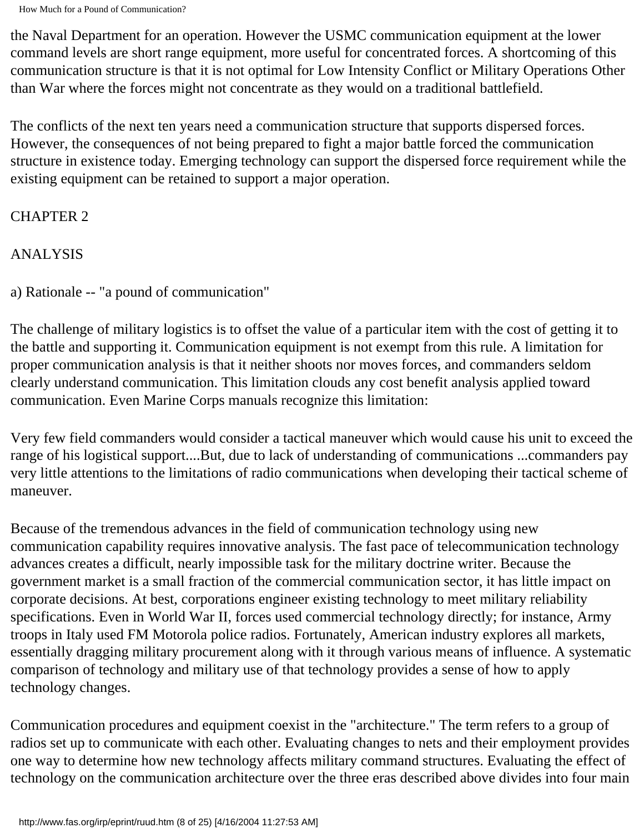the Naval Department for an operation. However the USMC communication equipment at the lower command levels are short range equipment, more useful for concentrated forces. A shortcoming of this communication structure is that it is not optimal for Low Intensity Conflict or Military Operations Other than War where the forces might not concentrate as they would on a traditional battlefield.

The conflicts of the next ten years need a communication structure that supports dispersed forces. However, the consequences of not being prepared to fight a major battle forced the communication structure in existence today. Emerging technology can support the dispersed force requirement while the existing equipment can be retained to support a major operation.

## CHAPTER 2

ANALYSIS

a) Rationale -- "a pound of communication"

The challenge of military logistics is to offset the value of a particular item with the cost of getting it to the battle and supporting it. Communication equipment is not exempt from this rule. A limitation for proper communication analysis is that it neither shoots nor moves forces, and commanders seldom clearly understand communication. This limitation clouds any cost benefit analysis applied toward communication. Even Marine Corps manuals recognize this limitation:

Very few field commanders would consider a tactical maneuver which would cause his unit to exceed the range of his logistical support....But, due to lack of understanding of communications ...commanders pay very little attentions to the limitations of radio communications when developing their tactical scheme of maneuver.

Because of the tremendous advances in the field of communication technology using new communication capability requires innovative analysis. The fast pace of telecommunication technology advances creates a difficult, nearly impossible task for the military doctrine writer. Because the government market is a small fraction of the commercial communication sector, it has little impact on corporate decisions. At best, corporations engineer existing technology to meet military reliability specifications. Even in World War II, forces used commercial technology directly; for instance, Army troops in Italy used FM Motorola police radios. Fortunately, American industry explores all markets, essentially dragging military procurement along with it through various means of influence. A systematic comparison of technology and military use of that technology provides a sense of how to apply technology changes.

Communication procedures and equipment coexist in the "architecture." The term refers to a group of radios set up to communicate with each other. Evaluating changes to nets and their employment provides one way to determine how new technology affects military command structures. Evaluating the effect of technology on the communication architecture over the three eras described above divides into four main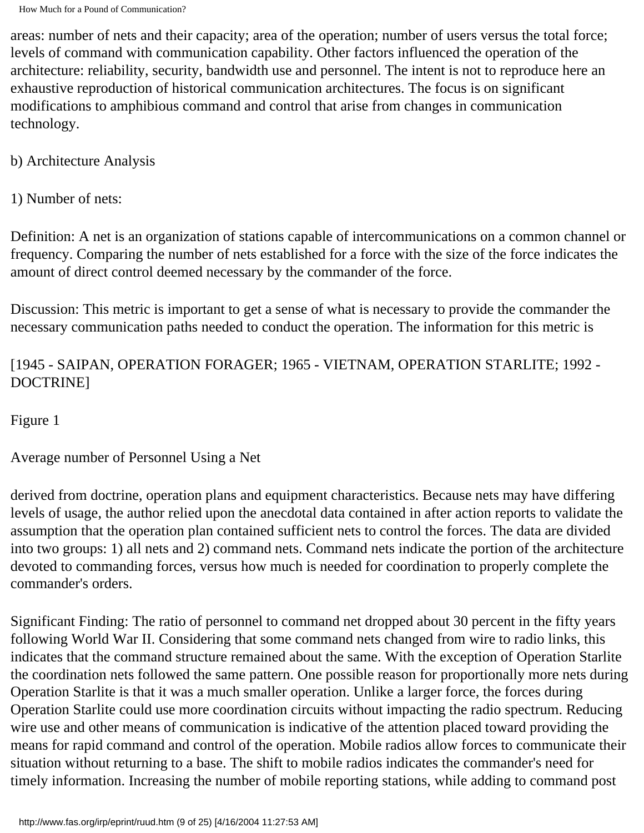areas: number of nets and their capacity; area of the operation; number of users versus the total force; levels of command with communication capability. Other factors influenced the operation of the architecture: reliability, security, bandwidth use and personnel. The intent is not to reproduce here an exhaustive reproduction of historical communication architectures. The focus is on significant modifications to amphibious command and control that arise from changes in communication technology.

b) Architecture Analysis

1) Number of nets:

Definition: A net is an organization of stations capable of intercommunications on a common channel or frequency. Comparing the number of nets established for a force with the size of the force indicates the amount of direct control deemed necessary by the commander of the force.

Discussion: This metric is important to get a sense of what is necessary to provide the commander the necessary communication paths needed to conduct the operation. The information for this metric is

## [1945 - SAIPAN, OPERATION FORAGER; 1965 - VIETNAM, OPERATION STARLITE; 1992 - DOCTRINE]

Figure 1

Average number of Personnel Using a Net

derived from doctrine, operation plans and equipment characteristics. Because nets may have differing levels of usage, the author relied upon the anecdotal data contained in after action reports to validate the assumption that the operation plan contained sufficient nets to control the forces. The data are divided into two groups: 1) all nets and 2) command nets. Command nets indicate the portion of the architecture devoted to commanding forces, versus how much is needed for coordination to properly complete the commander's orders.

Significant Finding: The ratio of personnel to command net dropped about 30 percent in the fifty years following World War II. Considering that some command nets changed from wire to radio links, this indicates that the command structure remained about the same. With the exception of Operation Starlite the coordination nets followed the same pattern. One possible reason for proportionally more nets during Operation Starlite is that it was a much smaller operation. Unlike a larger force, the forces during Operation Starlite could use more coordination circuits without impacting the radio spectrum. Reducing wire use and other means of communication is indicative of the attention placed toward providing the means for rapid command and control of the operation. Mobile radios allow forces to communicate their situation without returning to a base. The shift to mobile radios indicates the commander's need for timely information. Increasing the number of mobile reporting stations, while adding to command post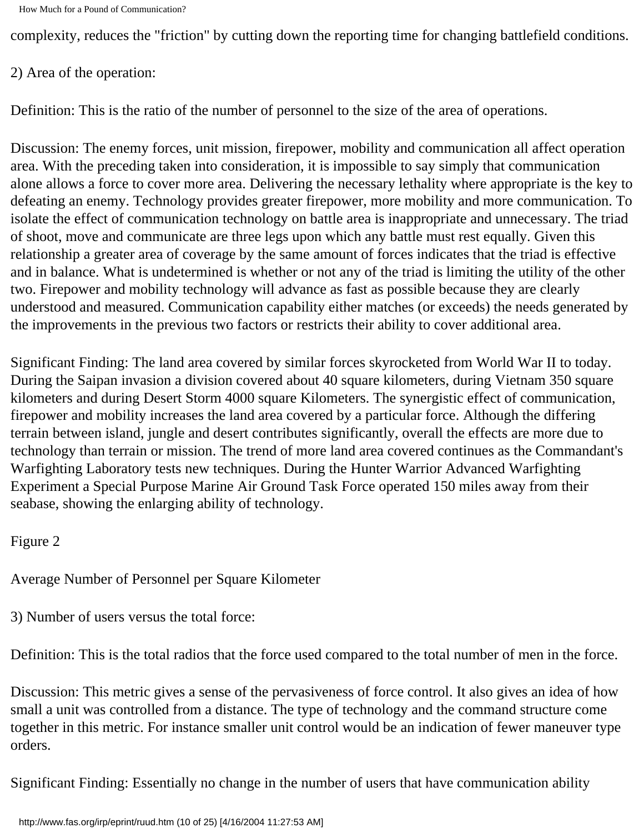complexity, reduces the "friction" by cutting down the reporting time for changing battlefield conditions.

#### 2) Area of the operation:

Definition: This is the ratio of the number of personnel to the size of the area of operations.

Discussion: The enemy forces, unit mission, firepower, mobility and communication all affect operation area. With the preceding taken into consideration, it is impossible to say simply that communication alone allows a force to cover more area. Delivering the necessary lethality where appropriate is the key to defeating an enemy. Technology provides greater firepower, more mobility and more communication. To isolate the effect of communication technology on battle area is inappropriate and unnecessary. The triad of shoot, move and communicate are three legs upon which any battle must rest equally. Given this relationship a greater area of coverage by the same amount of forces indicates that the triad is effective and in balance. What is undetermined is whether or not any of the triad is limiting the utility of the other two. Firepower and mobility technology will advance as fast as possible because they are clearly understood and measured. Communication capability either matches (or exceeds) the needs generated by the improvements in the previous two factors or restricts their ability to cover additional area.

Significant Finding: The land area covered by similar forces skyrocketed from World War II to today. During the Saipan invasion a division covered about 40 square kilometers, during Vietnam 350 square kilometers and during Desert Storm 4000 square Kilometers. The synergistic effect of communication, firepower and mobility increases the land area covered by a particular force. Although the differing terrain between island, jungle and desert contributes significantly, overall the effects are more due to technology than terrain or mission. The trend of more land area covered continues as the Commandant's Warfighting Laboratory tests new techniques. During the Hunter Warrior Advanced Warfighting Experiment a Special Purpose Marine Air Ground Task Force operated 150 miles away from their seabase, showing the enlarging ability of technology.

Figure 2

Average Number of Personnel per Square Kilometer

3) Number of users versus the total force:

Definition: This is the total radios that the force used compared to the total number of men in the force.

Discussion: This metric gives a sense of the pervasiveness of force control. It also gives an idea of how small a unit was controlled from a distance. The type of technology and the command structure come together in this metric. For instance smaller unit control would be an indication of fewer maneuver type orders.

Significant Finding: Essentially no change in the number of users that have communication ability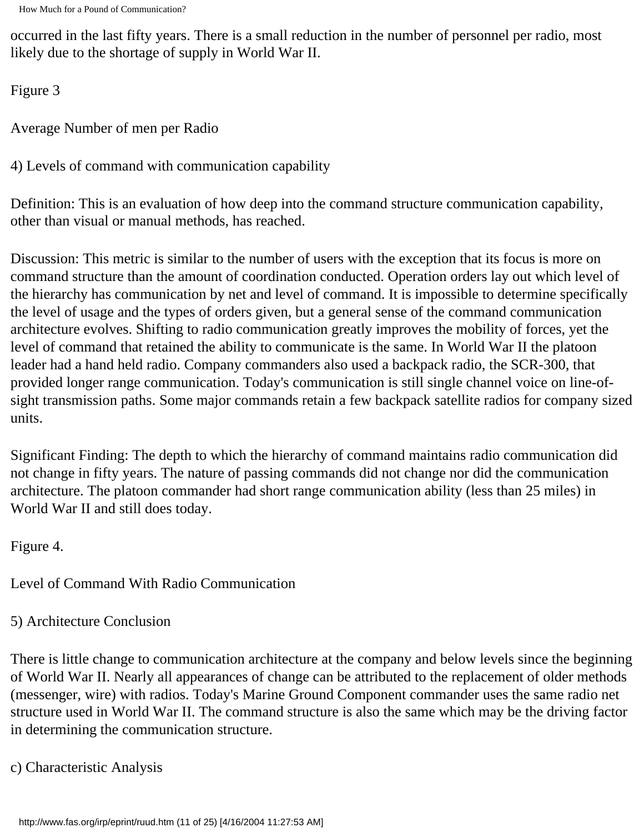occurred in the last fifty years. There is a small reduction in the number of personnel per radio, most likely due to the shortage of supply in World War II.

Figure 3

Average Number of men per Radio

4) Levels of command with communication capability

Definition: This is an evaluation of how deep into the command structure communication capability, other than visual or manual methods, has reached.

Discussion: This metric is similar to the number of users with the exception that its focus is more on command structure than the amount of coordination conducted. Operation orders lay out which level of the hierarchy has communication by net and level of command. It is impossible to determine specifically the level of usage and the types of orders given, but a general sense of the command communication architecture evolves. Shifting to radio communication greatly improves the mobility of forces, yet the level of command that retained the ability to communicate is the same. In World War II the platoon leader had a hand held radio. Company commanders also used a backpack radio, the SCR-300, that provided longer range communication. Today's communication is still single channel voice on line-ofsight transmission paths. Some major commands retain a few backpack satellite radios for company sized units.

Significant Finding: The depth to which the hierarchy of command maintains radio communication did not change in fifty years. The nature of passing commands did not change nor did the communication architecture. The platoon commander had short range communication ability (less than 25 miles) in World War II and still does today.

Figure 4.

Level of Command With Radio Communication

5) Architecture Conclusion

There is little change to communication architecture at the company and below levels since the beginning of World War II. Nearly all appearances of change can be attributed to the replacement of older methods (messenger, wire) with radios. Today's Marine Ground Component commander uses the same radio net structure used in World War II. The command structure is also the same which may be the driving factor in determining the communication structure.

c) Characteristic Analysis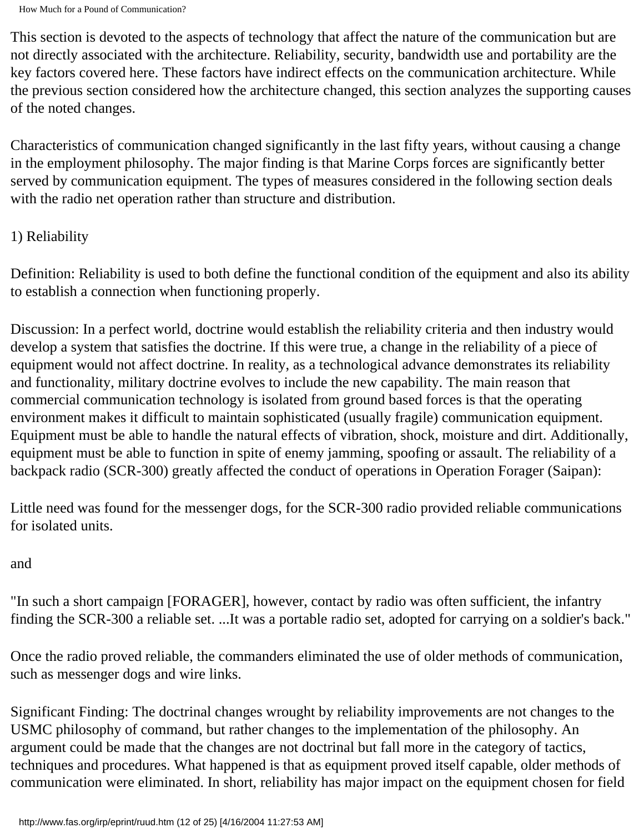This section is devoted to the aspects of technology that affect the nature of the communication but are not directly associated with the architecture. Reliability, security, bandwidth use and portability are the key factors covered here. These factors have indirect effects on the communication architecture. While the previous section considered how the architecture changed, this section analyzes the supporting causes of the noted changes.

Characteristics of communication changed significantly in the last fifty years, without causing a change in the employment philosophy. The major finding is that Marine Corps forces are significantly better served by communication equipment. The types of measures considered in the following section deals with the radio net operation rather than structure and distribution.

## 1) Reliability

Definition: Reliability is used to both define the functional condition of the equipment and also its ability to establish a connection when functioning properly.

Discussion: In a perfect world, doctrine would establish the reliability criteria and then industry would develop a system that satisfies the doctrine. If this were true, a change in the reliability of a piece of equipment would not affect doctrine. In reality, as a technological advance demonstrates its reliability and functionality, military doctrine evolves to include the new capability. The main reason that commercial communication technology is isolated from ground based forces is that the operating environment makes it difficult to maintain sophisticated (usually fragile) communication equipment. Equipment must be able to handle the natural effects of vibration, shock, moisture and dirt. Additionally, equipment must be able to function in spite of enemy jamming, spoofing or assault. The reliability of a backpack radio (SCR-300) greatly affected the conduct of operations in Operation Forager (Saipan):

Little need was found for the messenger dogs, for the SCR-300 radio provided reliable communications for isolated units.

## and

"In such a short campaign [FORAGER], however, contact by radio was often sufficient, the infantry finding the SCR-300 a reliable set. ...It was a portable radio set, adopted for carrying on a soldier's back."

Once the radio proved reliable, the commanders eliminated the use of older methods of communication, such as messenger dogs and wire links.

Significant Finding: The doctrinal changes wrought by reliability improvements are not changes to the USMC philosophy of command, but rather changes to the implementation of the philosophy. An argument could be made that the changes are not doctrinal but fall more in the category of tactics, techniques and procedures. What happened is that as equipment proved itself capable, older methods of communication were eliminated. In short, reliability has major impact on the equipment chosen for field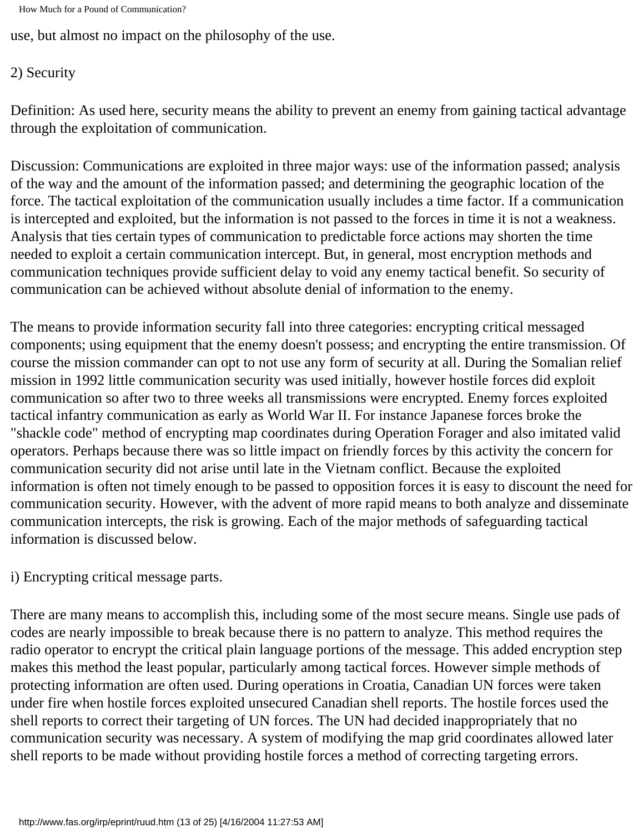```
How Much for a Pound of Communication?
```
use, but almost no impact on the philosophy of the use.

## 2) Security

Definition: As used here, security means the ability to prevent an enemy from gaining tactical advantage through the exploitation of communication.

Discussion: Communications are exploited in three major ways: use of the information passed; analysis of the way and the amount of the information passed; and determining the geographic location of the force. The tactical exploitation of the communication usually includes a time factor. If a communication is intercepted and exploited, but the information is not passed to the forces in time it is not a weakness. Analysis that ties certain types of communication to predictable force actions may shorten the time needed to exploit a certain communication intercept. But, in general, most encryption methods and communication techniques provide sufficient delay to void any enemy tactical benefit. So security of communication can be achieved without absolute denial of information to the enemy.

The means to provide information security fall into three categories: encrypting critical messaged components; using equipment that the enemy doesn't possess; and encrypting the entire transmission. Of course the mission commander can opt to not use any form of security at all. During the Somalian relief mission in 1992 little communication security was used initially, however hostile forces did exploit communication so after two to three weeks all transmissions were encrypted. Enemy forces exploited tactical infantry communication as early as World War II. For instance Japanese forces broke the "shackle code" method of encrypting map coordinates during Operation Forager and also imitated valid operators. Perhaps because there was so little impact on friendly forces by this activity the concern for communication security did not arise until late in the Vietnam conflict. Because the exploited information is often not timely enough to be passed to opposition forces it is easy to discount the need for communication security. However, with the advent of more rapid means to both analyze and disseminate communication intercepts, the risk is growing. Each of the major methods of safeguarding tactical information is discussed below.

i) Encrypting critical message parts.

There are many means to accomplish this, including some of the most secure means. Single use pads of codes are nearly impossible to break because there is no pattern to analyze. This method requires the radio operator to encrypt the critical plain language portions of the message. This added encryption step makes this method the least popular, particularly among tactical forces. However simple methods of protecting information are often used. During operations in Croatia, Canadian UN forces were taken under fire when hostile forces exploited unsecured Canadian shell reports. The hostile forces used the shell reports to correct their targeting of UN forces. The UN had decided inappropriately that no communication security was necessary. A system of modifying the map grid coordinates allowed later shell reports to be made without providing hostile forces a method of correcting targeting errors.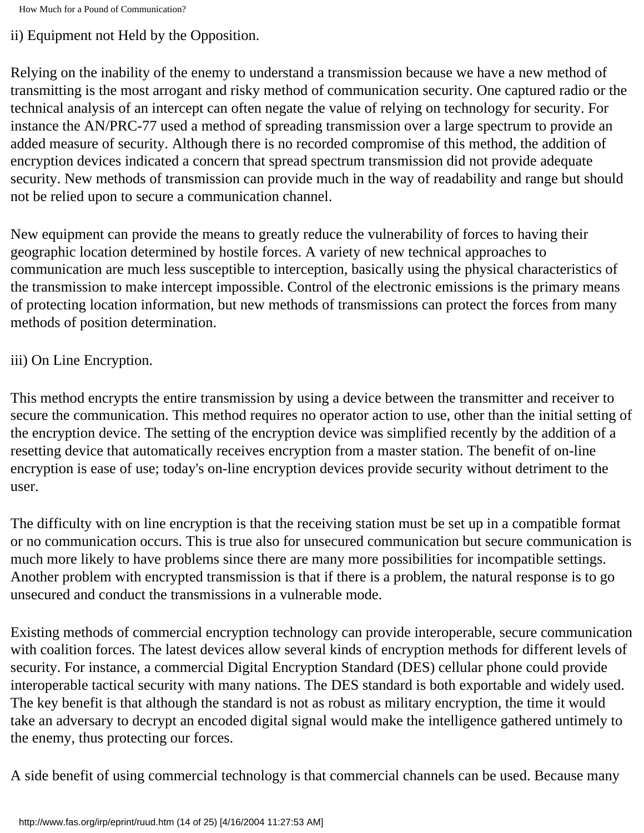ii) Equipment not Held by the Opposition.

Relying on the inability of the enemy to understand a transmission because we have a new method of transmitting is the most arrogant and risky method of communication security. One captured radio or the technical analysis of an intercept can often negate the value of relying on technology for security. For instance the AN/PRC-77 used a method of spreading transmission over a large spectrum to provide an added measure of security. Although there is no recorded compromise of this method, the addition of encryption devices indicated a concern that spread spectrum transmission did not provide adequate security. New methods of transmission can provide much in the way of readability and range but should not be relied upon to secure a communication channel.

New equipment can provide the means to greatly reduce the vulnerability of forces to having their geographic location determined by hostile forces. A variety of new technical approaches to communication are much less susceptible to interception, basically using the physical characteristics of the transmission to make intercept impossible. Control of the electronic emissions is the primary means of protecting location information, but new methods of transmissions can protect the forces from many methods of position determination.

## iii) On Line Encryption.

This method encrypts the entire transmission by using a device between the transmitter and receiver to secure the communication. This method requires no operator action to use, other than the initial setting of the encryption device. The setting of the encryption device was simplified recently by the addition of a resetting device that automatically receives encryption from a master station. The benefit of on-line encryption is ease of use; today's on-line encryption devices provide security without detriment to the user.

The difficulty with on line encryption is that the receiving station must be set up in a compatible format or no communication occurs. This is true also for unsecured communication but secure communication is much more likely to have problems since there are many more possibilities for incompatible settings. Another problem with encrypted transmission is that if there is a problem, the natural response is to go unsecured and conduct the transmissions in a vulnerable mode.

Existing methods of commercial encryption technology can provide interoperable, secure communication with coalition forces. The latest devices allow several kinds of encryption methods for different levels of security. For instance, a commercial Digital Encryption Standard (DES) cellular phone could provide interoperable tactical security with many nations. The DES standard is both exportable and widely used. The key benefit is that although the standard is not as robust as military encryption, the time it would take an adversary to decrypt an encoded digital signal would make the intelligence gathered untimely to the enemy, thus protecting our forces.

A side benefit of using commercial technology is that commercial channels can be used. Because many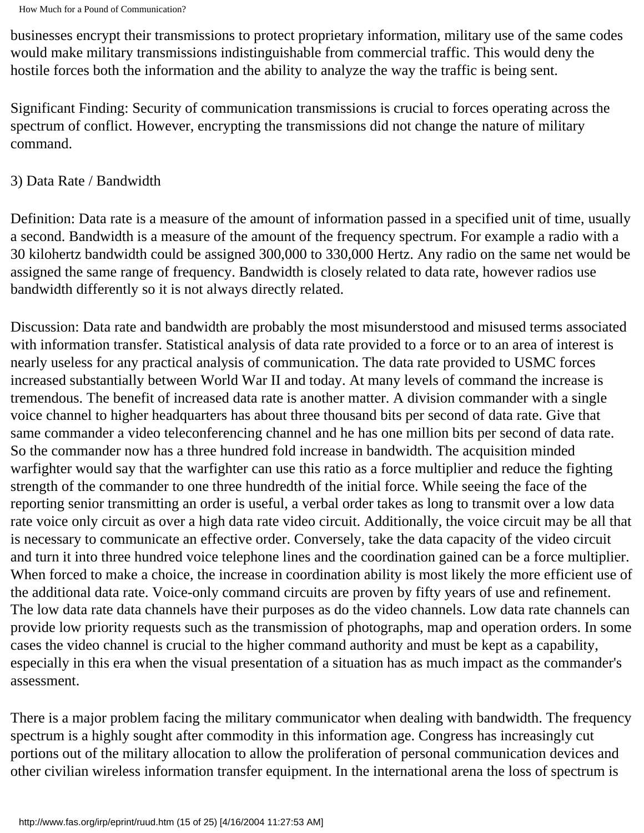businesses encrypt their transmissions to protect proprietary information, military use of the same codes would make military transmissions indistinguishable from commercial traffic. This would deny the hostile forces both the information and the ability to analyze the way the traffic is being sent.

Significant Finding: Security of communication transmissions is crucial to forces operating across the spectrum of conflict. However, encrypting the transmissions did not change the nature of military command.

#### 3) Data Rate / Bandwidth

Definition: Data rate is a measure of the amount of information passed in a specified unit of time, usually a second. Bandwidth is a measure of the amount of the frequency spectrum. For example a radio with a 30 kilohertz bandwidth could be assigned 300,000 to 330,000 Hertz. Any radio on the same net would be assigned the same range of frequency. Bandwidth is closely related to data rate, however radios use bandwidth differently so it is not always directly related.

Discussion: Data rate and bandwidth are probably the most misunderstood and misused terms associated with information transfer. Statistical analysis of data rate provided to a force or to an area of interest is nearly useless for any practical analysis of communication. The data rate provided to USMC forces increased substantially between World War II and today. At many levels of command the increase is tremendous. The benefit of increased data rate is another matter. A division commander with a single voice channel to higher headquarters has about three thousand bits per second of data rate. Give that same commander a video teleconferencing channel and he has one million bits per second of data rate. So the commander now has a three hundred fold increase in bandwidth. The acquisition minded warfighter would say that the warfighter can use this ratio as a force multiplier and reduce the fighting strength of the commander to one three hundredth of the initial force. While seeing the face of the reporting senior transmitting an order is useful, a verbal order takes as long to transmit over a low data rate voice only circuit as over a high data rate video circuit. Additionally, the voice circuit may be all that is necessary to communicate an effective order. Conversely, take the data capacity of the video circuit and turn it into three hundred voice telephone lines and the coordination gained can be a force multiplier. When forced to make a choice, the increase in coordination ability is most likely the more efficient use of the additional data rate. Voice-only command circuits are proven by fifty years of use and refinement. The low data rate data channels have their purposes as do the video channels. Low data rate channels can provide low priority requests such as the transmission of photographs, map and operation orders. In some cases the video channel is crucial to the higher command authority and must be kept as a capability, especially in this era when the visual presentation of a situation has as much impact as the commander's assessment.

There is a major problem facing the military communicator when dealing with bandwidth. The frequency spectrum is a highly sought after commodity in this information age. Congress has increasingly cut portions out of the military allocation to allow the proliferation of personal communication devices and other civilian wireless information transfer equipment. In the international arena the loss of spectrum is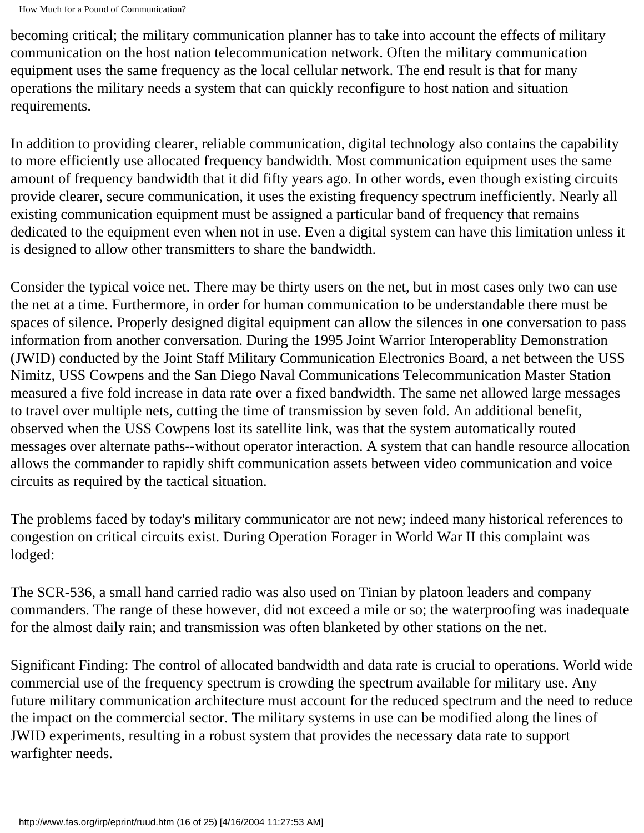becoming critical; the military communication planner has to take into account the effects of military communication on the host nation telecommunication network. Often the military communication equipment uses the same frequency as the local cellular network. The end result is that for many operations the military needs a system that can quickly reconfigure to host nation and situation requirements.

In addition to providing clearer, reliable communication, digital technology also contains the capability to more efficiently use allocated frequency bandwidth. Most communication equipment uses the same amount of frequency bandwidth that it did fifty years ago. In other words, even though existing circuits provide clearer, secure communication, it uses the existing frequency spectrum inefficiently. Nearly all existing communication equipment must be assigned a particular band of frequency that remains dedicated to the equipment even when not in use. Even a digital system can have this limitation unless it is designed to allow other transmitters to share the bandwidth.

Consider the typical voice net. There may be thirty users on the net, but in most cases only two can use the net at a time. Furthermore, in order for human communication to be understandable there must be spaces of silence. Properly designed digital equipment can allow the silences in one conversation to pass information from another conversation. During the 1995 Joint Warrior Interoperablity Demonstration (JWID) conducted by the Joint Staff Military Communication Electronics Board, a net between the USS Nimitz, USS Cowpens and the San Diego Naval Communications Telecommunication Master Station measured a five fold increase in data rate over a fixed bandwidth. The same net allowed large messages to travel over multiple nets, cutting the time of transmission by seven fold. An additional benefit, observed when the USS Cowpens lost its satellite link, was that the system automatically routed messages over alternate paths--without operator interaction. A system that can handle resource allocation allows the commander to rapidly shift communication assets between video communication and voice circuits as required by the tactical situation.

The problems faced by today's military communicator are not new; indeed many historical references to congestion on critical circuits exist. During Operation Forager in World War II this complaint was lodged:

The SCR-536, a small hand carried radio was also used on Tinian by platoon leaders and company commanders. The range of these however, did not exceed a mile or so; the waterproofing was inadequate for the almost daily rain; and transmission was often blanketed by other stations on the net.

Significant Finding: The control of allocated bandwidth and data rate is crucial to operations. World wide commercial use of the frequency spectrum is crowding the spectrum available for military use. Any future military communication architecture must account for the reduced spectrum and the need to reduce the impact on the commercial sector. The military systems in use can be modified along the lines of JWID experiments, resulting in a robust system that provides the necessary data rate to support warfighter needs.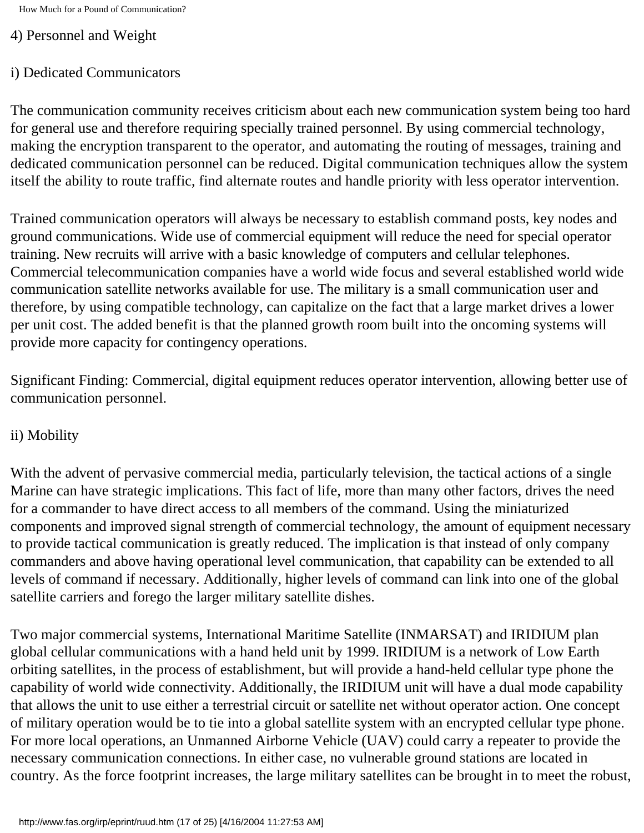#### 4) Personnel and Weight

#### i) Dedicated Communicators

The communication community receives criticism about each new communication system being too hard for general use and therefore requiring specially trained personnel. By using commercial technology, making the encryption transparent to the operator, and automating the routing of messages, training and dedicated communication personnel can be reduced. Digital communication techniques allow the system itself the ability to route traffic, find alternate routes and handle priority with less operator intervention.

Trained communication operators will always be necessary to establish command posts, key nodes and ground communications. Wide use of commercial equipment will reduce the need for special operator training. New recruits will arrive with a basic knowledge of computers and cellular telephones. Commercial telecommunication companies have a world wide focus and several established world wide communication satellite networks available for use. The military is a small communication user and therefore, by using compatible technology, can capitalize on the fact that a large market drives a lower per unit cost. The added benefit is that the planned growth room built into the oncoming systems will provide more capacity for contingency operations.

Significant Finding: Commercial, digital equipment reduces operator intervention, allowing better use of communication personnel.

## ii) Mobility

With the advent of pervasive commercial media, particularly television, the tactical actions of a single Marine can have strategic implications. This fact of life, more than many other factors, drives the need for a commander to have direct access to all members of the command. Using the miniaturized components and improved signal strength of commercial technology, the amount of equipment necessary to provide tactical communication is greatly reduced. The implication is that instead of only company commanders and above having operational level communication, that capability can be extended to all levels of command if necessary. Additionally, higher levels of command can link into one of the global satellite carriers and forego the larger military satellite dishes.

Two major commercial systems, International Maritime Satellite (INMARSAT) and IRIDIUM plan global cellular communications with a hand held unit by 1999. IRIDIUM is a network of Low Earth orbiting satellites, in the process of establishment, but will provide a hand-held cellular type phone the capability of world wide connectivity. Additionally, the IRIDIUM unit will have a dual mode capability that allows the unit to use either a terrestrial circuit or satellite net without operator action. One concept of military operation would be to tie into a global satellite system with an encrypted cellular type phone. For more local operations, an Unmanned Airborne Vehicle (UAV) could carry a repeater to provide the necessary communication connections. In either case, no vulnerable ground stations are located in country. As the force footprint increases, the large military satellites can be brought in to meet the robust,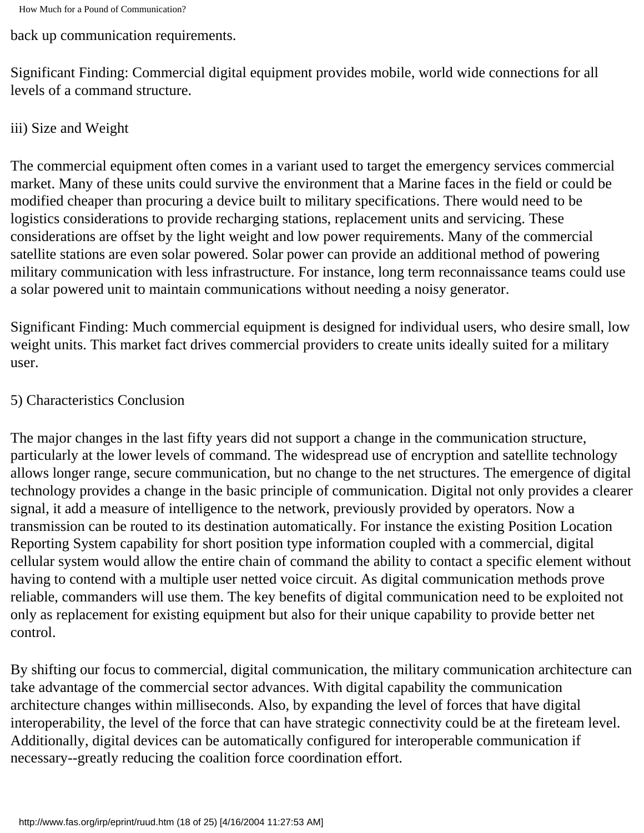back up communication requirements.

Significant Finding: Commercial digital equipment provides mobile, world wide connections for all levels of a command structure.

#### iii) Size and Weight

The commercial equipment often comes in a variant used to target the emergency services commercial market. Many of these units could survive the environment that a Marine faces in the field or could be modified cheaper than procuring a device built to military specifications. There would need to be logistics considerations to provide recharging stations, replacement units and servicing. These considerations are offset by the light weight and low power requirements. Many of the commercial satellite stations are even solar powered. Solar power can provide an additional method of powering military communication with less infrastructure. For instance, long term reconnaissance teams could use a solar powered unit to maintain communications without needing a noisy generator.

Significant Finding: Much commercial equipment is designed for individual users, who desire small, low weight units. This market fact drives commercial providers to create units ideally suited for a military user.

#### 5) Characteristics Conclusion

The major changes in the last fifty years did not support a change in the communication structure, particularly at the lower levels of command. The widespread use of encryption and satellite technology allows longer range, secure communication, but no change to the net structures. The emergence of digital technology provides a change in the basic principle of communication. Digital not only provides a clearer signal, it add a measure of intelligence to the network, previously provided by operators. Now a transmission can be routed to its destination automatically. For instance the existing Position Location Reporting System capability for short position type information coupled with a commercial, digital cellular system would allow the entire chain of command the ability to contact a specific element without having to contend with a multiple user netted voice circuit. As digital communication methods prove reliable, commanders will use them. The key benefits of digital communication need to be exploited not only as replacement for existing equipment but also for their unique capability to provide better net control.

By shifting our focus to commercial, digital communication, the military communication architecture can take advantage of the commercial sector advances. With digital capability the communication architecture changes within milliseconds. Also, by expanding the level of forces that have digital interoperability, the level of the force that can have strategic connectivity could be at the fireteam level. Additionally, digital devices can be automatically configured for interoperable communication if necessary--greatly reducing the coalition force coordination effort.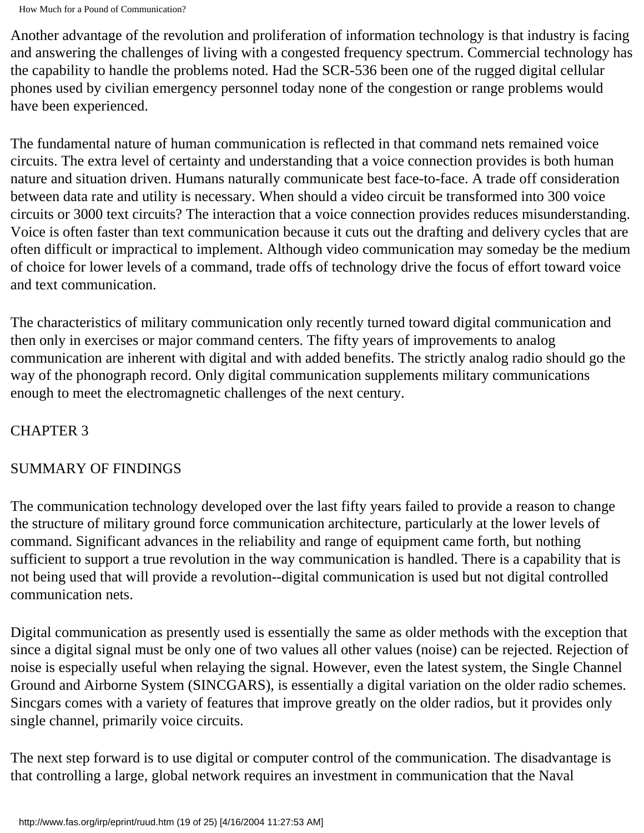Another advantage of the revolution and proliferation of information technology is that industry is facing and answering the challenges of living with a congested frequency spectrum. Commercial technology has the capability to handle the problems noted. Had the SCR-536 been one of the rugged digital cellular phones used by civilian emergency personnel today none of the congestion or range problems would have been experienced.

The fundamental nature of human communication is reflected in that command nets remained voice circuits. The extra level of certainty and understanding that a voice connection provides is both human nature and situation driven. Humans naturally communicate best face-to-face. A trade off consideration between data rate and utility is necessary. When should a video circuit be transformed into 300 voice circuits or 3000 text circuits? The interaction that a voice connection provides reduces misunderstanding. Voice is often faster than text communication because it cuts out the drafting and delivery cycles that are often difficult or impractical to implement. Although video communication may someday be the medium of choice for lower levels of a command, trade offs of technology drive the focus of effort toward voice and text communication.

The characteristics of military communication only recently turned toward digital communication and then only in exercises or major command centers. The fifty years of improvements to analog communication are inherent with digital and with added benefits. The strictly analog radio should go the way of the phonograph record. Only digital communication supplements military communications enough to meet the electromagnetic challenges of the next century.

## CHAPTER 3

# SUMMARY OF FINDINGS

The communication technology developed over the last fifty years failed to provide a reason to change the structure of military ground force communication architecture, particularly at the lower levels of command. Significant advances in the reliability and range of equipment came forth, but nothing sufficient to support a true revolution in the way communication is handled. There is a capability that is not being used that will provide a revolution--digital communication is used but not digital controlled communication nets.

Digital communication as presently used is essentially the same as older methods with the exception that since a digital signal must be only one of two values all other values (noise) can be rejected. Rejection of noise is especially useful when relaying the signal. However, even the latest system, the Single Channel Ground and Airborne System (SINCGARS), is essentially a digital variation on the older radio schemes. Sincgars comes with a variety of features that improve greatly on the older radios, but it provides only single channel, primarily voice circuits.

The next step forward is to use digital or computer control of the communication. The disadvantage is that controlling a large, global network requires an investment in communication that the Naval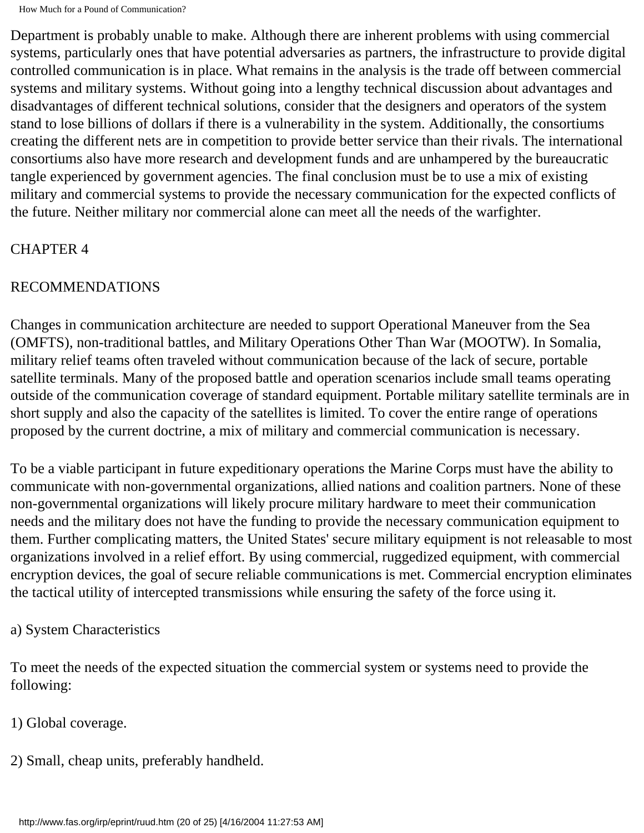Department is probably unable to make. Although there are inherent problems with using commercial systems, particularly ones that have potential adversaries as partners, the infrastructure to provide digital controlled communication is in place. What remains in the analysis is the trade off between commercial systems and military systems. Without going into a lengthy technical discussion about advantages and disadvantages of different technical solutions, consider that the designers and operators of the system stand to lose billions of dollars if there is a vulnerability in the system. Additionally, the consortiums creating the different nets are in competition to provide better service than their rivals. The international consortiums also have more research and development funds and are unhampered by the bureaucratic tangle experienced by government agencies. The final conclusion must be to use a mix of existing military and commercial systems to provide the necessary communication for the expected conflicts of the future. Neither military nor commercial alone can meet all the needs of the warfighter.

## CHAPTER 4

## RECOMMENDATIONS

Changes in communication architecture are needed to support Operational Maneuver from the Sea (OMFTS), non-traditional battles, and Military Operations Other Than War (MOOTW). In Somalia, military relief teams often traveled without communication because of the lack of secure, portable satellite terminals. Many of the proposed battle and operation scenarios include small teams operating outside of the communication coverage of standard equipment. Portable military satellite terminals are in short supply and also the capacity of the satellites is limited. To cover the entire range of operations proposed by the current doctrine, a mix of military and commercial communication is necessary.

To be a viable participant in future expeditionary operations the Marine Corps must have the ability to communicate with non-governmental organizations, allied nations and coalition partners. None of these non-governmental organizations will likely procure military hardware to meet their communication needs and the military does not have the funding to provide the necessary communication equipment to them. Further complicating matters, the United States' secure military equipment is not releasable to most organizations involved in a relief effort. By using commercial, ruggedized equipment, with commercial encryption devices, the goal of secure reliable communications is met. Commercial encryption eliminates the tactical utility of intercepted transmissions while ensuring the safety of the force using it.

## a) System Characteristics

To meet the needs of the expected situation the commercial system or systems need to provide the following:

- 1) Global coverage.
- 2) Small, cheap units, preferably handheld.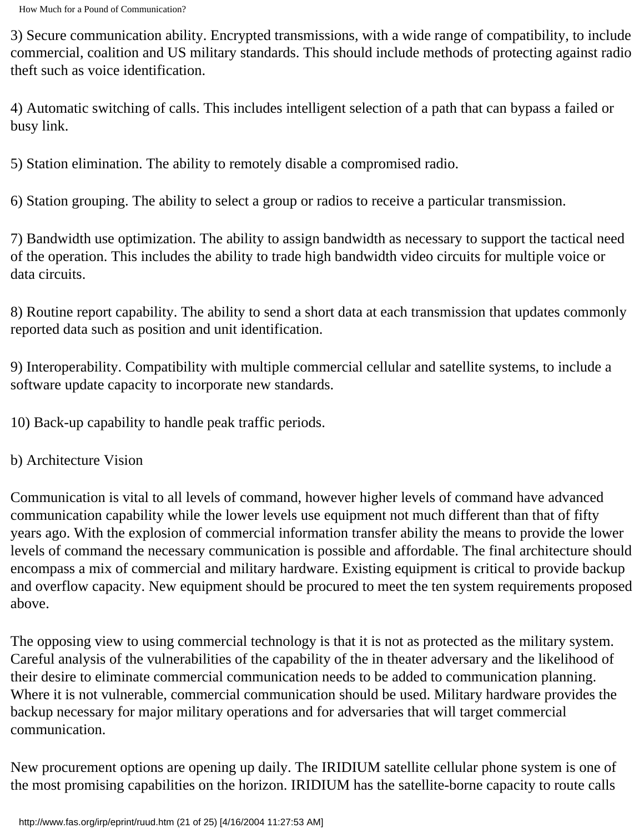3) Secure communication ability. Encrypted transmissions, with a wide range of compatibility, to include commercial, coalition and US military standards. This should include methods of protecting against radio theft such as voice identification.

4) Automatic switching of calls. This includes intelligent selection of a path that can bypass a failed or busy link.

5) Station elimination. The ability to remotely disable a compromised radio.

6) Station grouping. The ability to select a group or radios to receive a particular transmission.

7) Bandwidth use optimization. The ability to assign bandwidth as necessary to support the tactical need of the operation. This includes the ability to trade high bandwidth video circuits for multiple voice or data circuits.

8) Routine report capability. The ability to send a short data at each transmission that updates commonly reported data such as position and unit identification.

9) Interoperability. Compatibility with multiple commercial cellular and satellite systems, to include a software update capacity to incorporate new standards.

10) Back-up capability to handle peak traffic periods.

b) Architecture Vision

Communication is vital to all levels of command, however higher levels of command have advanced communication capability while the lower levels use equipment not much different than that of fifty years ago. With the explosion of commercial information transfer ability the means to provide the lower levels of command the necessary communication is possible and affordable. The final architecture should encompass a mix of commercial and military hardware. Existing equipment is critical to provide backup and overflow capacity. New equipment should be procured to meet the ten system requirements proposed above.

The opposing view to using commercial technology is that it is not as protected as the military system. Careful analysis of the vulnerabilities of the capability of the in theater adversary and the likelihood of their desire to eliminate commercial communication needs to be added to communication planning. Where it is not vulnerable, commercial communication should be used. Military hardware provides the backup necessary for major military operations and for adversaries that will target commercial communication.

New procurement options are opening up daily. The IRIDIUM satellite cellular phone system is one of the most promising capabilities on the horizon. IRIDIUM has the satellite-borne capacity to route calls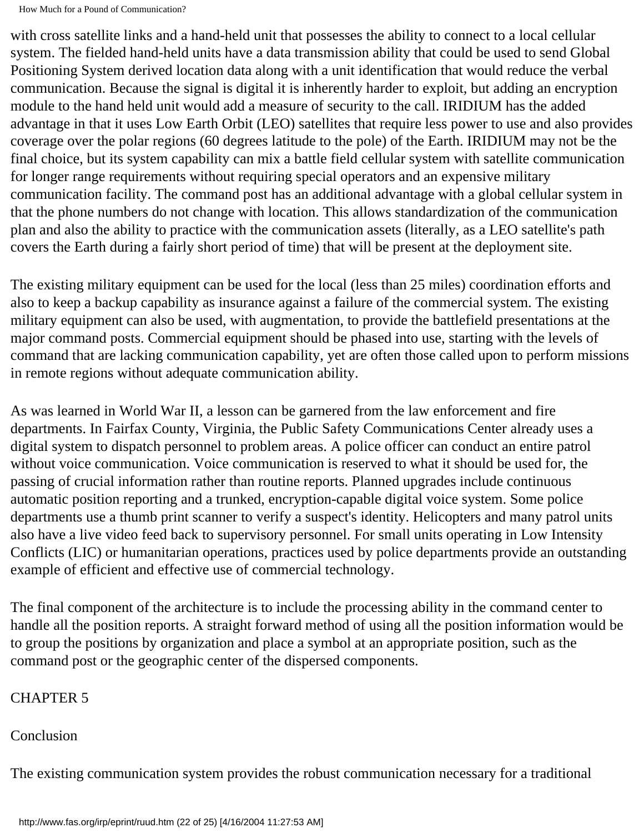with cross satellite links and a hand-held unit that possesses the ability to connect to a local cellular system. The fielded hand-held units have a data transmission ability that could be used to send Global Positioning System derived location data along with a unit identification that would reduce the verbal communication. Because the signal is digital it is inherently harder to exploit, but adding an encryption module to the hand held unit would add a measure of security to the call. IRIDIUM has the added advantage in that it uses Low Earth Orbit (LEO) satellites that require less power to use and also provides coverage over the polar regions (60 degrees latitude to the pole) of the Earth. IRIDIUM may not be the final choice, but its system capability can mix a battle field cellular system with satellite communication for longer range requirements without requiring special operators and an expensive military communication facility. The command post has an additional advantage with a global cellular system in that the phone numbers do not change with location. This allows standardization of the communication plan and also the ability to practice with the communication assets (literally, as a LEO satellite's path covers the Earth during a fairly short period of time) that will be present at the deployment site.

The existing military equipment can be used for the local (less than 25 miles) coordination efforts and also to keep a backup capability as insurance against a failure of the commercial system. The existing military equipment can also be used, with augmentation, to provide the battlefield presentations at the major command posts. Commercial equipment should be phased into use, starting with the levels of command that are lacking communication capability, yet are often those called upon to perform missions in remote regions without adequate communication ability.

As was learned in World War II, a lesson can be garnered from the law enforcement and fire departments. In Fairfax County, Virginia, the Public Safety Communications Center already uses a digital system to dispatch personnel to problem areas. A police officer can conduct an entire patrol without voice communication. Voice communication is reserved to what it should be used for, the passing of crucial information rather than routine reports. Planned upgrades include continuous automatic position reporting and a trunked, encryption-capable digital voice system. Some police departments use a thumb print scanner to verify a suspect's identity. Helicopters and many patrol units also have a live video feed back to supervisory personnel. For small units operating in Low Intensity Conflicts (LIC) or humanitarian operations, practices used by police departments provide an outstanding example of efficient and effective use of commercial technology.

The final component of the architecture is to include the processing ability in the command center to handle all the position reports. A straight forward method of using all the position information would be to group the positions by organization and place a symbol at an appropriate position, such as the command post or the geographic center of the dispersed components.

## CHAPTER 5

Conclusion

The existing communication system provides the robust communication necessary for a traditional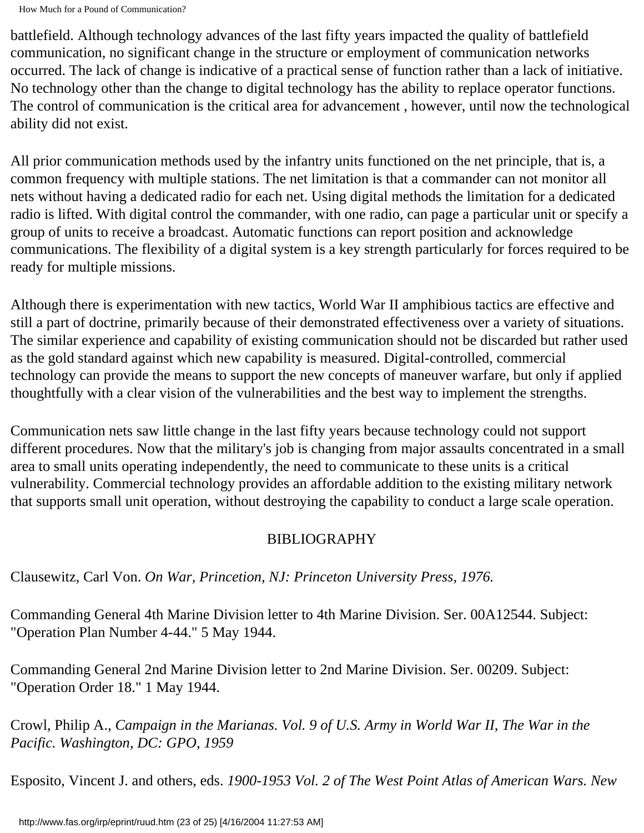battlefield. Although technology advances of the last fifty years impacted the quality of battlefield communication, no significant change in the structure or employment of communication networks occurred. The lack of change is indicative of a practical sense of function rather than a lack of initiative. No technology other than the change to digital technology has the ability to replace operator functions. The control of communication is the critical area for advancement , however, until now the technological ability did not exist.

All prior communication methods used by the infantry units functioned on the net principle, that is, a common frequency with multiple stations. The net limitation is that a commander can not monitor all nets without having a dedicated radio for each net. Using digital methods the limitation for a dedicated radio is lifted. With digital control the commander, with one radio, can page a particular unit or specify a group of units to receive a broadcast. Automatic functions can report position and acknowledge communications. The flexibility of a digital system is a key strength particularly for forces required to be ready for multiple missions.

Although there is experimentation with new tactics, World War II amphibious tactics are effective and still a part of doctrine, primarily because of their demonstrated effectiveness over a variety of situations. The similar experience and capability of existing communication should not be discarded but rather used as the gold standard against which new capability is measured. Digital-controlled, commercial technology can provide the means to support the new concepts of maneuver warfare, but only if applied thoughtfully with a clear vision of the vulnerabilities and the best way to implement the strengths.

Communication nets saw little change in the last fifty years because technology could not support different procedures. Now that the military's job is changing from major assaults concentrated in a small area to small units operating independently, the need to communicate to these units is a critical vulnerability. Commercial technology provides an affordable addition to the existing military network that supports small unit operation, without destroying the capability to conduct a large scale operation.

## BIBLIOGRAPHY

Clausewitz, Carl Von. *On War, Princetion, NJ: Princeton University Press, 1976.* 

Commanding General 4th Marine Division letter to 4th Marine Division. Ser. 00A12544. Subject: "Operation Plan Number 4-44." 5 May 1944.

Commanding General 2nd Marine Division letter to 2nd Marine Division. Ser. 00209. Subject: "Operation Order 18." 1 May 1944.

Crowl, Philip A., *Campaign in the Marianas. Vol. 9 of U.S. Army in World War II, The War in the Pacific. Washington, DC: GPO, 1959*

Esposito, Vincent J. and others, eds. *1900-1953 Vol. 2 of The West Point Atlas of American Wars. New*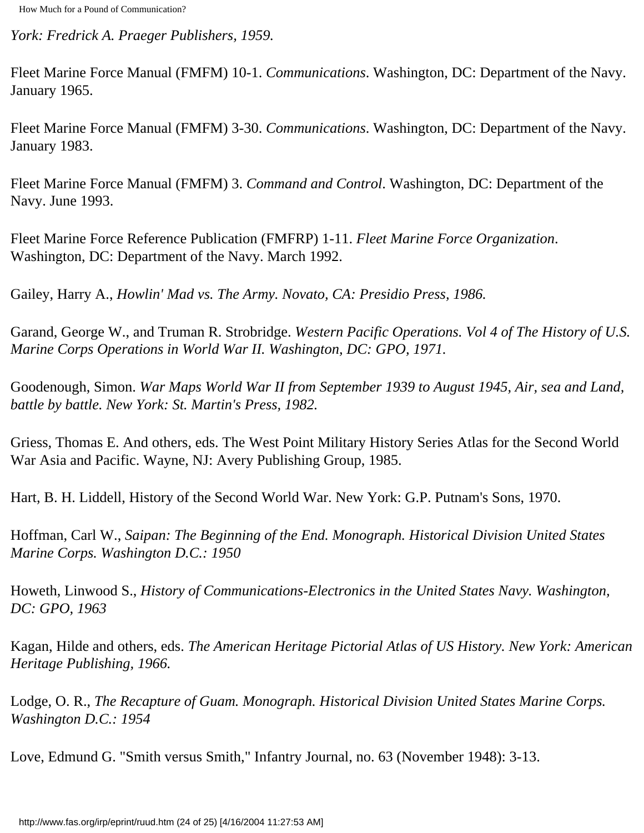*York: Fredrick A. Praeger Publishers, 1959.*

Fleet Marine Force Manual (FMFM) 10-1. *Communications*. Washington, DC: Department of the Navy. January 1965.

Fleet Marine Force Manual (FMFM) 3-30. *Communications*. Washington, DC: Department of the Navy. January 1983.

Fleet Marine Force Manual (FMFM) 3. *Command and Control*. Washington, DC: Department of the Navy. June 1993.

Fleet Marine Force Reference Publication (FMFRP) 1-11. *Fleet Marine Force Organization*. Washington, DC: Department of the Navy. March 1992.

Gailey, Harry A., *Howlin' Mad vs. The Army. Novato, CA: Presidio Press, 1986.*

Garand, George W., and Truman R. Strobridge. *Western Pacific Operations. Vol 4 of The History of U.S. Marine Corps Operations in World War II. Washington, DC: GPO, 1971.*

Goodenough, Simon. *War Maps World War II from September 1939 to August 1945, Air, sea and Land, battle by battle. New York: St. Martin's Press, 1982.*

Griess, Thomas E. And others, eds. The West Point Military History Series Atlas for the Second World War Asia and Pacific. Wayne, NJ: Avery Publishing Group, 1985.

Hart, B. H. Liddell, History of the Second World War. New York: G.P. Putnam's Sons, 1970.

Hoffman, Carl W., *Saipan: The Beginning of the End. Monograph. Historical Division United States Marine Corps. Washington D.C.: 1950*

Howeth, Linwood S., *History of Communications-Electronics in the United States Navy. Washington, DC: GPO, 1963*

Kagan, Hilde and others, eds. *The American Heritage Pictorial Atlas of US History. New York: American Heritage Publishing, 1966.*

Lodge, O. R., *The Recapture of Guam. Monograph. Historical Division United States Marine Corps. Washington D.C.: 1954*

Love, Edmund G. "Smith versus Smith," Infantry Journal, no. 63 (November 1948): 3-13.